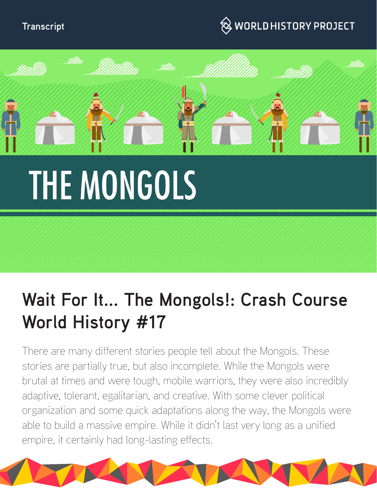#### **Transcript**

### $\hspace{0.1cm}\otimes\hspace{0.1cm}$  WORLD HISTORY PROJECT



# **THE MONGOLS**

## **Wait For It... The Mongols!: Crash Course World History #17**

There are many different stories people tell about the Mongols. These stories are partially true, but also incomplete. While the Mongols were brutal at times and were tough, mobile warriors, they were also incredibly adaptive, tolerant, egalitarian, and creative. With some clever political organization and some quick adaptations along the way, the Mongols were able to build a massive empire. While it didn't last very long as a unified empire, it certainly had long-lasting effects.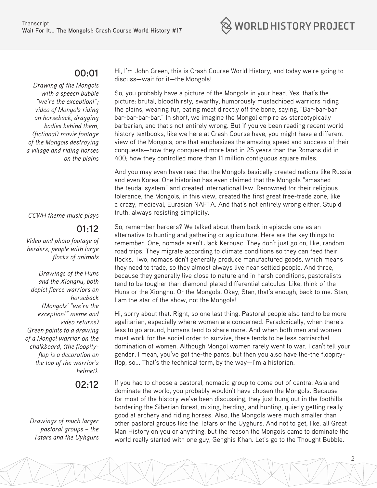

#### **00:01**

*Drawing of the Mongols with a speech bubble "we're the exception!"; video of Mongols riding on horseback, dragging bodies behind them, (fictional) movie footage of the Mongols destroying a village and riding horses on the plains*

*CCWH theme music plays*

#### **01:12**

*Video and photo footage of herders; people with large flocks of animals*

*Drawings of the Huns and the Xiongnu, both depict fierce warriors on horseback (Mongols' "we're the exception!" meme and video returns) Green points to a drawing of a Mongol warrior on the chalkboard, (the floopityflop is a decoration on the top of the warrior's helmet).*

**02:12** 

*Drawings of much larger pastoral groups – the Tatars and the Uyhgurs*

Hi, I'm John Green, this is Crash Course World History, and today we're going to discuss—wait for it—the Mongols!

So, you probably have a picture of the Mongols in your head. Yes, that's the picture: brutal, bloodthirsty, swarthy, humorously mustachioed warriors riding the plains, wearing fur, eating meat directly off the bone, saying, "Bar-bar-bar bar-bar-bar-bar." In short, we imagine the Mongol empire as stereotypically barbarian, and that's not entirely wrong. But if you've been reading recent world history textbooks, like we here at Crash Course have, you might have a different view of the Mongols, one that emphasizes the amazing speed and success of their conquests—how they conquered more land in 25 years than the Romans did in 400; how they controlled more than 11 million contiguous square miles.

And you may even have read that the Mongols basically created nations like Russia and even Korea. One historian has even claimed that the Mongols "smashed the feudal system" and created international law. Renowned for their religious tolerance, the Mongols, in this view, created the first great free-trade zone, like a crazy, medieval, Eurasian NAFTA. And that's not entirely wrong either. Stupid truth, always resisting simplicity.

So, remember herders? We talked about them back in episode one as an alternative to hunting and gathering or agriculture. Here are the key things to remember: One, nomads aren't Jack Kerouac. They don't just go on, like, random road trips. They migrate according to climate conditions so they can feed their flocks. Two, nomads don't generally produce manufactured goods, which means they need to trade, so they almost always live near settled people. And three, because they generally live close to nature and in harsh conditions, pastoralists tend to be tougher than diamond-plated differential calculus. Like, think of the Huns or the Xiongnu. Or the Mongols. Okay, Stan, that's enough, back to me. Stan, I am the star of the show, not the Mongols!

Hi, sorry about that. Right, so one last thing. Pastoral people also tend to be more egalitarian, especially where women are concerned. Paradoxically, when there's less to go around, humans tend to share more. And when both men and women must work for the social order to survive, there tends to be less patriarchal domination of women. Although Mongol women rarely went to war. I can't tell your gender, I mean, you've got the-the pants, but then you also have the-the floopityflop, so... That's the technical term, by the way—I'm a historian.

If you had to choose a pastoral, nomadic group to come out of central Asia and dominate the world, you probably wouldn't have chosen the Mongols. Because for most of the history we've been discussing, they just hung out in the foothills bordering the Siberian forest, mixing, herding, and hunting, quietly getting really good at archery and riding horses. Also, the Mongols were much smaller than other pastoral groups like the Tatars or the Uyghurs. And not to get, like, all Great Man History on you or anything, but the reason the Mongols came to dominate the world really started with one guy, Genghis Khan. Let's go to the Thought Bubble.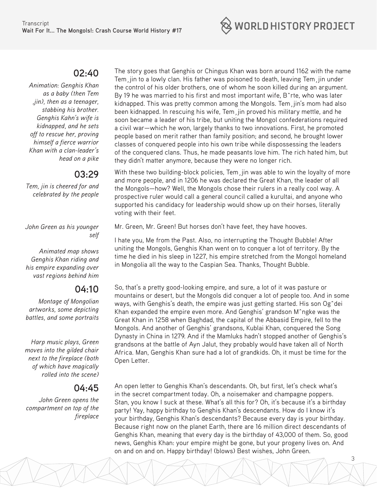

#### **02:40**

*Animation: Genghis Khan as a baby (then Tem ,jin), then as a teenager, stabbing his brother. Genghis Kahn's wife is kidnapped, and he sets off to rescue her, proving himself a fierce warrior Khan with a clan-leader's head on a pike*

#### **03:29**

*Tem, jin is cheered for and celebrated by the people*

*John Green as his younger self*

*Animated map shows Genghis Khan riding and his empire expanding over vast regions behind him*

#### **04:10**

*Montage of Mongolian artworks, some depicting battles, and some portraits*

*Harp music plays, Green moves into the gilded chair next to the fireplace (both of which have magically rolled into the scene)*

#### **04:45**

*John Green opens the compartment on top of the fireplace*

The story goes that Genghis or Chingus Khan was born around 1162 with the name Tem¸jin to a lowly clan. His father was poisoned to death, leaving Tem¸jin under the control of his older brothers, one of whom he soon killed during an argument. By 19 he was married to his first and most important wife, Bˆrte, who was later kidnapped. This was pretty common among the Mongols. Tem¸jin's mom had also been kidnapped. In rescuing his wife, Tem¸jin proved his military mettle, and he soon became a leader of his tribe, but uniting the Mongol confederations required a civil war—which he won, largely thanks to two innovations. First, he promoted people based on merit rather than family position; and second, he brought lower classes of conquered people into his own tribe while dispossessing the leaders of the conquered clans. Thus, he made peasants love him. The rich hated him, but they didn't matter anymore, because they were no longer rich.

With these two building-block policies, Tem¸jin was able to win the loyalty of more and more people, and in 1206 he was declared the Great Khan, the leader of all the Mongols—how? Well, the Mongols chose their rulers in a really cool way. A prospective ruler would call a general council called a kurultai, and anyone who supported his candidacy for leadership would show up on their horses, literally voting with their feet.

Mr. Green, Mr. Green! But horses don't have feet, they have hooves.

I hate you, Me from the Past. Also, no interrupting the Thought Bubble! After uniting the Mongols, Genghis Khan went on to conquer a lot of territory. By the time he died in his sleep in 1227, his empire stretched from the Mongol homeland in Mongolia all the way to the Caspian Sea. Thanks, Thought Bubble.

So, that's a pretty good-looking empire, and sure, a lot of it was pasture or mountains or desert, but the Mongols did conquer a lot of people too. And in some ways, with Genghis's death, the empire was just getting started. His son Ogˆdei Khan expanded the empire even more. And Genghis' grandson Mˆngke was the Great Khan in 1258 when Baghdad, the capital of the Abbasid Empire, fell to the Mongols. And another of Genghis' grandsons, Kublai Khan, conquered the Song Dynasty in China in 1279. And if the Mamluks hadn't stopped another of Genghis's grandsons at the battle of Ayn Jalut, they probably would have taken all of North Africa. Man, Genghis Khan sure had a lot of grandkids. Oh, it must be time for the Open Letter.

An open letter to Genghis Khan's descendants. Oh, but first, let's check what's in the secret compartment today. Oh, a noisemaker and champagne poppers. Stan, you know I suck at these. What's all this for? Oh, it's because it's a birthday party! Yay, happy birthday to Genghis Khan's descendants. How do I know it's your birthday, Genghis Khan's descendants? Because every day is your birthday. Because right now on the planet Earth, there are 16 million direct descendants of Genghis Khan, meaning that every day is the birthday of 43,000 of them. So, good news, Genghis Khan: your empire might be gone, but your progeny lives on. And on and on and on. Happy birthday! (blows) Best wishes, John Green.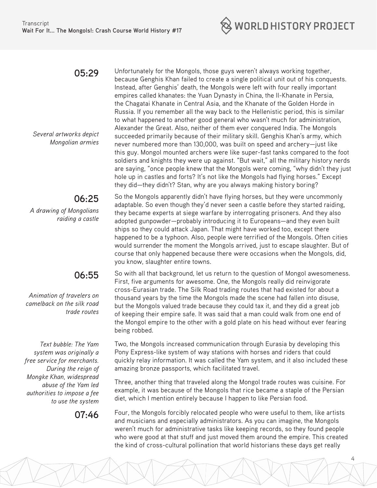

#### **05:29**

*Several artworks depict Mongolian armies*

#### **06:25**

*A drawing of Mongolians raiding a castle*

#### **06:55**

*Animation of travelers on camelback on the silk road trade routes*

*Text bubble: The Yam system was originally a free service for merchants. During the reign of Mongke Khan, widespread abuse of the Yam led authorities to impose a fee to use the system*

Unfortunately for the Mongols, those guys weren't always working together, because Genghis Khan failed to create a single political unit out of his conquests. Instead, after Genghis' death, the Mongols were left with four really important empires called khanates: the Yuan Dynasty in China, the Il-Khanate in Persia, the Chagatai Khanate in Central Asia, and the Khanate of the Golden Horde in Russia. If you remember all the way back to the Hellenistic period, this is similar to what happened to another good general who wasn't much for administration, Alexander the Great. Also, neither of them ever conquered India. The Mongols succeeded primarily because of their military skill. Genghis Khan's army, which never numbered more than 130,000, was built on speed and archery—just like this guy. Mongol mounted archers were like super-fast tanks compared to the foot soldiers and knights they were up against. "But wait," all the military history nerds are saying, "once people knew that the Mongols were coming, "why didn't they just hole up in castles and forts? It's not like the Mongols had flying horses." Except they did—they didn't? Stan, why are you always making history boring?

So the Mongols apparently didn't have flying horses, but they were uncommonly adaptable. So even though they'd never seen a castle before they started raiding, they became experts at siege warfare by interrogating prisoners. And they also adopted gunpowder—probably introducing it to Europeans—and they even built ships so they could attack Japan. That might have worked too, except there happened to be a typhoon. Also, people were terrified of the Mongols. Often cities would surrender the moment the Mongols arrived, just to escape slaughter. But of course that only happened because there were occasions when the Mongols, did, you know, slaughter entire towns.

So with all that background, let us return to the question of Mongol awesomeness. First, five arguments for awesome. One, the Mongols really did reinvigorate cross-Eurasian trade. The Silk Road trading routes that had existed for about a thousand years by the time the Mongols made the scene had fallen into disuse, but the Mongols valued trade because they could tax it, and they did a great job of keeping their empire safe. It was said that a man could walk from one end of the Mongol empire to the other with a gold plate on his head without ever fearing being robbed.

Two, the Mongols increased communication through Eurasia by developing this Pony Express-like system of way stations with horses and riders that could quickly relay information. It was called the Yam system, and it also included these amazing bronze passports, which facilitated travel.

Three, another thing that traveled along the Mongol trade routes was cuisine. For example, it was because of the Mongols that rice became a staple of the Persian diet, which I mention entirely because I happen to like Persian food.

**07:46** Four, the Mongols forcibly relocated people who were useful to them, like artists and musicians and especially administrators. As you can imagine, the Mongols weren't much for administrative tasks like keeping records, so they found people who were good at that stuff and just moved them around the empire. This created the kind of cross-cultural pollination that world historians these days get really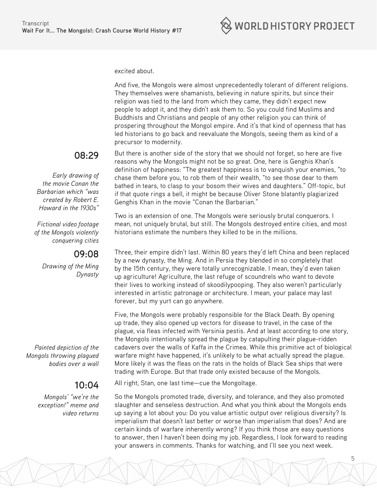excited about.

And five, the Mongols were almost unprecedentedly tolerant of different religions. They themselves were shamanists, believing in nature spirits, but since their religion was tied to the land from which they came, they didn't expect new people to adopt it, and they didn't ask them to. So you could find Muslims and Buddhists and Christians and people of any other religion you can think of prospering throughout the Mongol empire. And it's that kind of openness that has led historians to go back and reevaluate the Mongols, seeing them as kind of a precursor to modernity.

#### **08:29**

*Early drawing of the movie Conan the Barbarian which "was created by Robert E. Howard in the 1930s"*

*Fictional video footage of the Mongols violently conquering cities*

#### **09:08**

*Drawing of the Ming Dynasty*

*Painted depiction of the Mongols throwing plagued bodies over a wall*

#### **10:04**

*Mongols' "we're the exception!" meme and video returns* But there is another side of the story that we should not forget, so here are five reasons why the Mongols might not be so great. One, here is Genghis Khan's definition of happiness: "The greatest happiness is to vanquish your enemies, "to chase them before you, to rob them of their wealth, "to see those dear to them bathed in tears, to clasp to your bosom their wives and daughters." Off-topic, but if that quote rings a bell, it might be because Oliver Stone blatantly plagiarized Genghis Khan in the movie "Conan the Barbarian."

Two is an extension of one. The Mongols were seriously brutal conquerors. I mean, not uniquely brutal, but still. The Mongols destroyed entire cities, and most historians estimate the numbers they killed to be in the millions.

Three, their empire didn't last. Within 80 years they'd left China and been replaced by a new dynasty, the Ming. And in Persia they blended in so completely that by the 15th century, they were totally unrecognizable. I mean, they'd even taken up agriculture! Agriculture, the last refuge of scoundrels who want to devote their lives to working instead of skoodilypooping. They also weren't particularly interested in artistic patronage or architecture. I mean, your palace may last forever, but my yurt can go anywhere.

Five, the Mongols were probably responsible for the Black Death. By opening up trade, they also opened up vectors for disease to travel, in the case of the plague, via fleas infected with Yersinia pestis. And at least according to one story, the Mongols intentionally spread the plague by catapulting their plague-ridden cadavers over the walls of Kaffa in the Crimea. While this primitive act of biological warfare might have happened, it's unlikely to be what actually spread the plague. More likely it was the fleas on the rats in the holds of Black Sea ships that were trading with Europe. But that trade only existed because of the Mongols.

All right, Stan, one last time—cue the Mongoltage.

So the Mongols promoted trade, diversity, and tolerance, and they also promoted slaughter and senseless destruction. And what you think about the Mongols ends up saying a lot about you: Do you value artistic output over religious diversity? Is imperialism that doesn't last better or worse than imperialism that does? And are certain kinds of warfare inherently wrong? If you think those are easy questions to answer, then I haven't been doing my job. Regardless, I look forward to reading your answers in comments. Thanks for watching, and I'll see you next week.